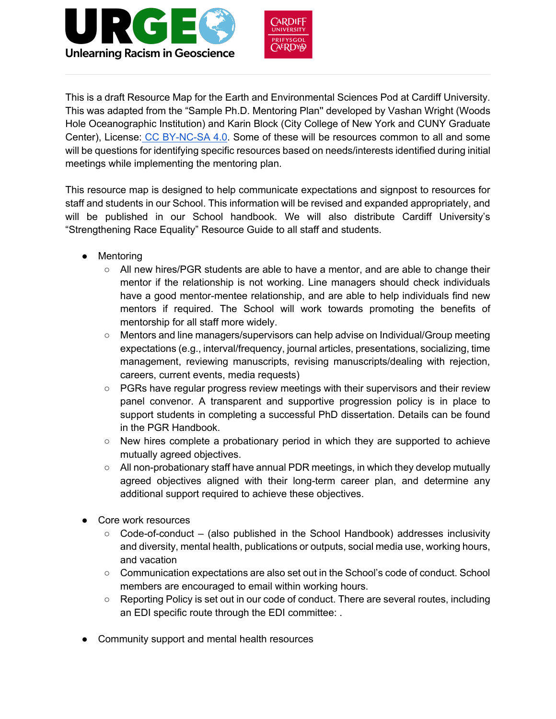



This is a draft Resource Map for the Earth and Environmental Sciences Pod at Cardiff University. This was adapted from the "Sample Ph.D. Mentoring Plan'' developed by Vashan Wright (Woods Hole Oceanographic Institution) and Karin Block (City College of New York and CUNY Graduate Center), License: CC BY-NC-SA 4.0. Some of these will be resources common to all and some will be questions for identifying specific resources based on needs/interests identified during initial meetings while implementing the mentoring plan.

This resource map is designed to help communicate expectations and signpost to resources for staff and students in our School. This information will be revised and expanded appropriately, and will be published in our School handbook. We will also distribute Cardiff University's "Strengthening Race Equality" Resource Guide to all staff and students.

- Mentoring
	- All new hires/PGR students are able to have a mentor, and are able to change their mentor if the relationship is not working. Line managers should check individuals have a good mentor-mentee relationship, and are able to help individuals find new mentors if required. The School will work towards promoting the benefits of mentorship for all staff more widely.
	- Mentors and line managers/supervisors can help advise on Individual/Group meeting expectations (e.g., interval/frequency, journal articles, presentations, socializing, time management, reviewing manuscripts, revising manuscripts/dealing with rejection, careers, current events, media requests)
	- PGRs have regular progress review meetings with their supervisors and their review panel convenor. A transparent and supportive progression policy is in place to support students in completing a successful PhD dissertation. Details can be found in the PGR Handbook.
	- $\circ$  New hires complete a probationary period in which they are supported to achieve mutually agreed objectives.
	- All non-probationary staff have annual PDR meetings, in which they develop mutually agreed objectives aligned with their long-term career plan, and determine any additional support required to achieve these objectives.
- Core work resources
	- $\circ$  Code-of-conduct (also published in the School Handbook) addresses inclusivity and diversity, mental health, publications or outputs, social media use, working hours, and vacation
	- Communication expectations are also set out in the School's code of conduct. School members are encouraged to email within working hours.
	- Reporting Policy is set out in our code of conduct. There are several routes, including an EDI specific route through the EDI committee: .
- Community support and mental health resources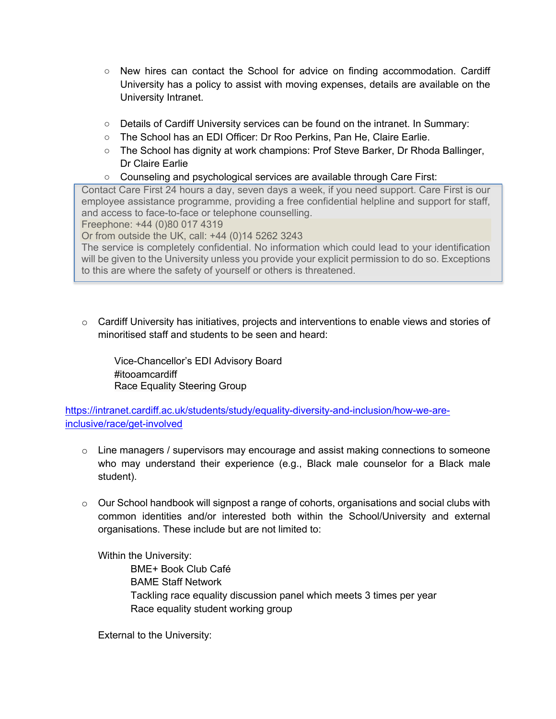- New hires can contact the School for advice on finding accommodation. Cardiff University has a policy to assist with moving expenses, details are available on the University Intranet.
- Details of Cardiff University services can be found on the intranet. In Summary:
- The School has an EDI Officer: Dr Roo Perkins, Pan He, Claire Earlie.
- The School has dignity at work champions: Prof Steve Barker, Dr Rhoda Ballinger, Dr Claire Earlie
- Counseling and psychological services are available through Care First:

Contact Care First 24 hours a day, seven days a week, if you need support. Care First is our employee assistance programme, providing a free confidential helpline and support for staff, and access to face-to-face or telephone counselling.

Freephone: +44 (0)80 017 4319

Or from outside the UK, call: +44 (0)14 5262 3243

The service is completely confidential. No information which could lead to your identification will be given to the University unless you provide your explicit permission to do so. Exceptions to this are where the safety of yourself or others is threatened.

 $\circ$  Cardiff University has initiatives, projects and interventions to enable views and stories of minoritised staff and students to be seen and heard:

Vice-Chancellor's EDI Advisory Board #itooamcardiff Race Equality Steering Group

https://intranet.cardiff.ac.uk/students/study/equality-diversity-and-inclusion/how-we-areinclusive/race/get-involved

- $\circ$  Line managers / supervisors may encourage and assist making connections to someone who may understand their experience (e.g., Black male counselor for a Black male student).
- $\circ$  Our School handbook will signpost a range of cohorts, organisations and social clubs with common identities and/or interested both within the School/University and external organisations. These include but are not limited to:

Within the University:

BME+ Book Club Café BAME Staff Network Tackling race equality discussion panel which meets 3 times per year Race equality student working group

External to the University: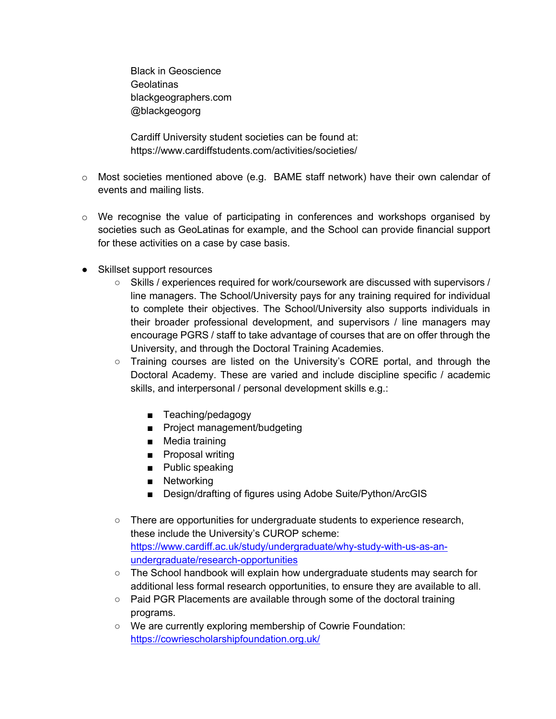Black in Geoscience Geolatinas blackgeographers.com @blackgeogorg

Cardiff University student societies can be found at: https://www.cardiffstudents.com/activities/societies/

- $\circ$  Most societies mentioned above (e.g. BAME staff network) have their own calendar of events and mailing lists.
- $\circ$  We recognise the value of participating in conferences and workshops organised by societies such as GeoLatinas for example, and the School can provide financial support for these activities on a case by case basis.
- Skillset support resources
	- Skills / experiences required for work/coursework are discussed with supervisors / line managers. The School/University pays for any training required for individual to complete their objectives. The School/University also supports individuals in their broader professional development, and supervisors / line managers may encourage PGRS / staff to take advantage of courses that are on offer through the University, and through the Doctoral Training Academies.
	- Training courses are listed on the University's CORE portal, and through the Doctoral Academy. These are varied and include discipline specific / academic skills, and interpersonal / personal development skills e.g.:
		- Teaching/pedagogy
		- Project management/budgeting
		- Media training
		- Proposal writing
		- Public speaking
		- Networking
		- Design/drafting of figures using Adobe Suite/Python/ArcGIS
	- There are opportunities for undergraduate students to experience research, these include the University's CUROP scheme: https://www.cardiff.ac.uk/study/undergraduate/why-study-with-us-as-anundergraduate/research-opportunities
	- o The School handbook will explain how undergraduate students may search for additional less formal research opportunities, to ensure they are available to all.
	- Paid PGR Placements are available through some of the doctoral training programs.
	- We are currently exploring membership of Cowrie Foundation: https://cowriescholarshipfoundation.org.uk/